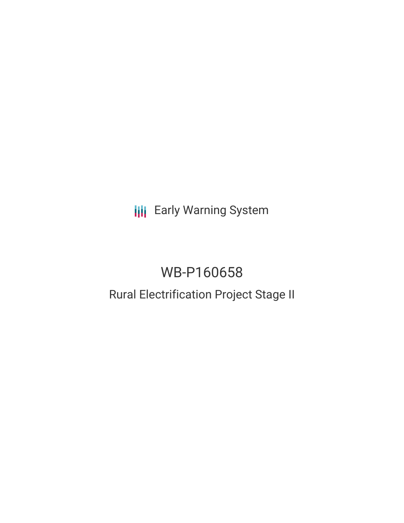**III** Early Warning System

# WB-P160658

# Rural Electrification Project Stage II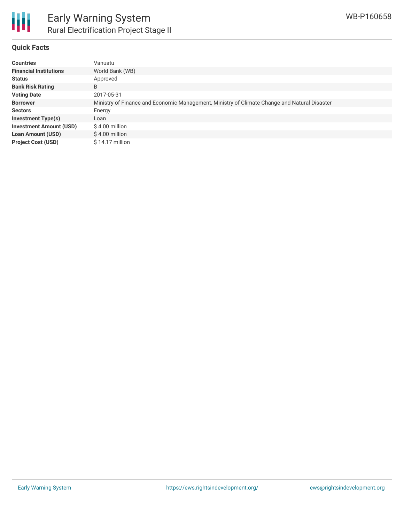

#### **Quick Facts**

| <b>Countries</b>               | Vanuatu                                                                                      |
|--------------------------------|----------------------------------------------------------------------------------------------|
| <b>Financial Institutions</b>  | World Bank (WB)                                                                              |
| <b>Status</b>                  | Approved                                                                                     |
| <b>Bank Risk Rating</b>        | B                                                                                            |
| <b>Voting Date</b>             | 2017-05-31                                                                                   |
| <b>Borrower</b>                | Ministry of Finance and Economic Management, Ministry of Climate Change and Natural Disaster |
| <b>Sectors</b>                 | Energy                                                                                       |
| <b>Investment Type(s)</b>      | Loan                                                                                         |
| <b>Investment Amount (USD)</b> | $$4.00$ million                                                                              |
| <b>Loan Amount (USD)</b>       | $$4.00$ million                                                                              |
| <b>Project Cost (USD)</b>      | $$14.17$ million                                                                             |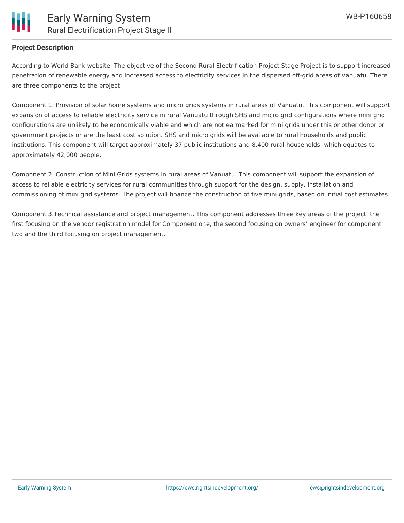

### **Project Description**

According to World Bank website, The objective of the Second Rural Electrification Project Stage Project is to support increased penetration of renewable energy and increased access to electricity services in the dispersed off-grid areas of Vanuatu. There are three components to the project:

Component 1. Provision of solar home systems and micro grids systems in rural areas of Vanuatu. This component will support expansion of access to reliable electricity service in rural Vanuatu through SHS and micro grid configurations where mini grid configurations are unlikely to be economically viable and which are not earmarked for mini grids under this or other donor or government projects or are the least cost solution. SHS and micro grids will be available to rural households and public institutions. This component will target approximately 37 public institutions and 8,400 rural households, which equates to approximately 42,000 people.

Component 2. Construction of Mini Grids systems in rural areas of Vanuatu. This component will support the expansion of access to reliable electricity services for rural communities through support for the design, supply, installation and commissioning of mini grid systems. The project will finance the construction of five mini grids, based on initial cost estimates.

Component 3.Technical assistance and project management. This component addresses three key areas of the project, the first focusing on the vendor registration model for Component one, the second focusing on owners' engineer for component two and the third focusing on project management.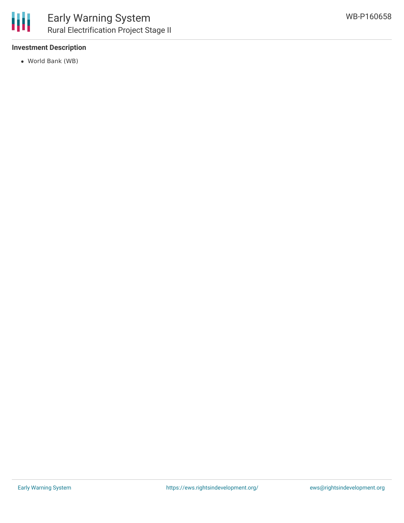

## **Investment Description**

World Bank (WB)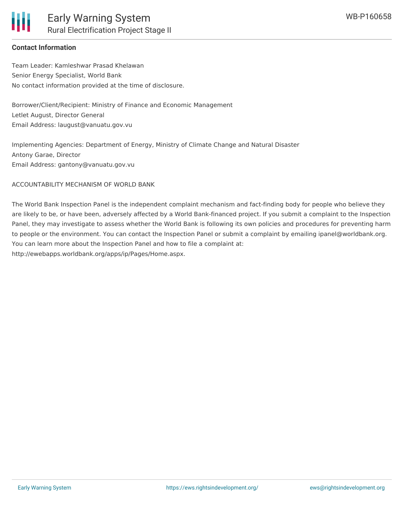

### **Contact Information**

Team Leader: Kamleshwar Prasad Khelawan Senior Energy Specialist, World Bank No contact information provided at the time of disclosure.

Borrower/Client/Recipient: Ministry of Finance and Economic Management Letlet August, Director General Email Address: laugust@vanuatu.gov.vu

Implementing Agencies: Department of Energy, Ministry of Climate Change and Natural Disaster Antony Garae, Director Email Address: gantony@vanuatu.gov.vu

ACCOUNTABILITY MECHANISM OF WORLD BANK

The World Bank Inspection Panel is the independent complaint mechanism and fact-finding body for people who believe they are likely to be, or have been, adversely affected by a World Bank-financed project. If you submit a complaint to the Inspection Panel, they may investigate to assess whether the World Bank is following its own policies and procedures for preventing harm to people or the environment. You can contact the Inspection Panel or submit a complaint by emailing ipanel@worldbank.org. You can learn more about the Inspection Panel and how to file a complaint at: http://ewebapps.worldbank.org/apps/ip/Pages/Home.aspx.